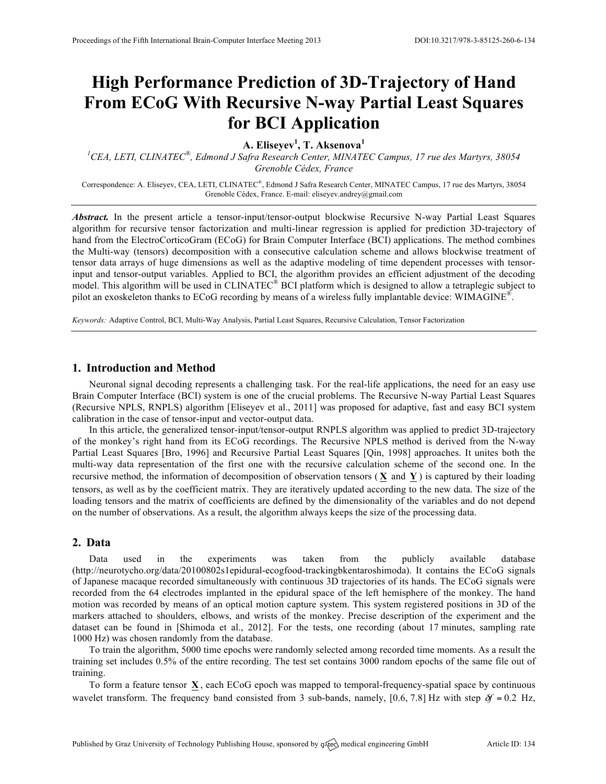# **High Performance Prediction of 3D-Trajectory of Hand From ECoG With Recursive N-way Partial Least Squares for BCI Application**

**A. Eliseyev<sup>1</sup> , T. Aksenova<sup>1</sup>**

*1 CEA, LETI, CLINATEC®, Edmond J Safra Research Center, MINATEC Campus, 17 rue des Martyrs, 38054 Grenoble Cédex, France*

Correspondence: A. Eliseyev, CEA, LETI, CLINATEC®, Edmond J Safra Research Center, MINATEC Campus, 17 rue des Martyrs, 38054 Grenoble Cédex, France. E-mail: eliseyev.andrey@gmail.com

*Abstract.* In the present article a tensor-input/tensor-output blockwise Recursive N-way Partial Least Squares algorithm for recursive tensor factorization and multi-linear regression is applied for prediction 3D-trajectory of hand from the ElectroCorticoGram (ECoG) for Brain Computer Interface (BCI) applications. The method combines the Multi-way (tensors) decomposition with a consecutive calculation scheme and allows blockwise treatment of tensor data arrays of huge dimensions as well as the adaptive modeling of time dependent processes with tensorinput and tensor-output variables. Applied to BCI, the algorithm provides an efficient adjustment of the decoding model. This algorithm will be used in CLINATEC<sup>®</sup> BCI platform which is designed to allow a tetraplegic subject to pilot an exoskeleton thanks to ECoG recording by means of a wireless fully implantable device: WIMAGINE<sup>®</sup>.

*Keywords:* Adaptive Control, BCI, Multi-Way Analysis, Partial Least Squares, Recursive Calculation, Tensor Factorization

### **1. Introduction and Method**

Neuronal signal decoding represents a challenging task. For the real-life applications, the need for an easy use Brain Computer Interface (BCI) system is one of the crucial problems. The Recursive N-way Partial Least Squares (Recursive NPLS, RNPLS) algorithm [Eliseyev et al., 2011] was proposed for adaptive, fast and easy BCI system calibration in the case of tensor-input and vector-output data.

In this article, the generalized tensor-input/tensor-output RNPLS algorithm was applied to predict 3D-trajectory of the monkey's right hand from its ECoG recordings. The Recursive NPLS method is derived from the N-way Partial Least Squares [Bro, 1996] and Recursive Partial Least Squares [Qin, 1998] approaches. It unites both the multi-way data representation of the first one with the recursive calculation scheme of the second one. In the recursive method, the information of decomposition of observation tensors ( **X** and **Y** ) is captured by their loading tensors, as well as by the coefficient matrix. They are iteratively updated according to the new data. The size of the loading tensors and the matrix of coefficients are defined by the dimensionality of the variables and do not depend on the number of observations. As a result, the algorithm always keeps the size of the processing data.

### **2. Data**

Data used in the experiments was taken from the publicly available database (http://neurotycho.org/data/20100802s1epidural-ecogfood-trackingbkentaroshimoda). It contains the ECoG signals of Japanese macaque recorded simultaneously with continuous 3D trajectories of its hands. The ECoG signals were recorded from the 64 electrodes implanted in the epidural space of the left hemisphere of the monkey. The hand motion was recorded by means of an optical motion capture system. This system registered positions in 3D of the markers attached to shoulders, elbows, and wrists of the monkey. Precise description of the experiment and the dataset can be found in [Shimoda et al., 2012]. For the tests, one recording (about 17 minutes, sampling rate 1000 Hz) was chosen randomly from the database.

To train the algorithm, 5000 time epochs were randomly selected among recorded time moments. As a result the training set includes 0.5% of the entire recording. The test set contains 3000 random epochs of the same file out of training.

To form a feature tensor **X** , each ECoG epoch was mapped to temporal-frequency-spatial space by continuous wavelet transform. The frequency band consisted from 3 sub-bands, namely, [0.6, 7.8] Hz with step  $\delta f = 0.2$  Hz,